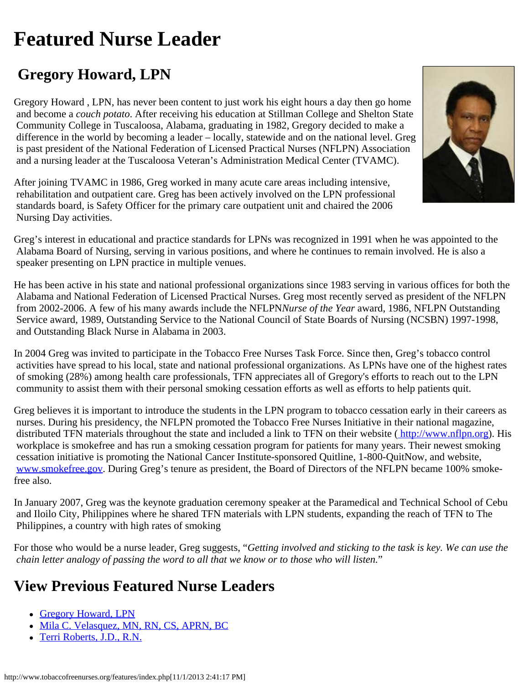## <span id="page-0-0"></span>**Featured Nurse Leader**

## **Gregory Howard, LPN**

Gregory Howard , LPN, has never been content to just work his eight hours a day then go home and become a *couch potato*. After receiving his education at Stillman College and Shelton State Community College in Tuscaloosa, Alabama, graduating in 1982, Gregory decided to make a difference in the world by becoming a leader – locally, statewide and on the national level. Greg is past president of the National Federation of Licensed Practical Nurses (NFLPN) Association and a nursing leader at the Tuscaloosa Veteran's Administration Medical Center (TVAMC).

After joining TVAMC in 1986, Greg worked in many acute care areas including intensive, rehabilitation and outpatient care. Greg has been actively involved on the LPN professional standards board, is Safety Officer for the primary care outpatient unit and chaired the 2006 Nursing Day activities.

Greg's interest in educational and practice standards for LPNs was recognized in 1991 when he was appointed to the Alabama Board of Nursing, serving in various positions, and where he continues to remain involved. He is also a speaker presenting on LPN practice in multiple venues.

He has been active in his state and national professional organizations since 1983 serving in various offices for both the Alabama and National Federation of Licensed Practical Nurses. Greg most recently served as president of the NFLPN from 2002-2006. A few of his many awards include the NFLPN*Nurse of the Year* award, 1986, NFLPN Outstanding Service award, 1989, Outstanding Service to the National Council of State Boards of Nursing (NCSBN) 1997-1998, and Outstanding Black Nurse in Alabama in 2003.

In 2004 Greg was invited to participate in the Tobacco Free Nurses Task Force. Since then, Greg's tobacco control activities have spread to his local, state and national professional organizations. As LPNs have one of the highest rates of smoking (28%) among health care professionals, TFN appreciates all of Gregory's efforts to reach out to the LPN community to assist them with their personal smoking cessation efforts as well as efforts to help patients quit.

Greg believes it is important to introduce the students in the LPN program to tobacco cessation early in their careers as nurses. During his presidency, the NFLPN promoted the Tobacco Free Nurses Initiative in their national magazine, distributed TFN materials throughout the state and included a link to TFN on their website [\( http://www.nflpn.org](http://www.nflpn.org/)). His workplace is smokefree and has run a smoking cessation program for patients for many years. Their newest smoking cessation initiative is promoting the National Cancer Institute-sponsored Quitline, 1-800-QuitNow, and website, [www.smokefree.gov.](http://www.smokefree.gov/) During Greg's tenure as president, the Board of Directors of the NFLPN became 100% smokefree also.

In January 2007, Greg was the keynote graduation ceremony speaker at the Paramedical and Technical School of Cebu and Iloilo City, Philippines where he shared TFN materials with LPN students, expanding the reach of TFN to The Philippines, a country with high rates of smoking

For those who would be a nurse leader, Greg suggests, "*Getting involved and sticking to the task is key. We can use the chain letter analogy of passing the word to all that we know or to those who will listen.*"

## **View Previous Featured Nurse Leaders**

- [Gregory Howard, LPN](#page-0-0)
- [Mila C. Velasquez, MN, RN, CS, APRN, BC](http://www.tobaccofreenurses.org/features/feature7.php)
- [Terri Roberts, J.D., R.N.](http://www.tobaccofreenurses.org/features/feature6.php)